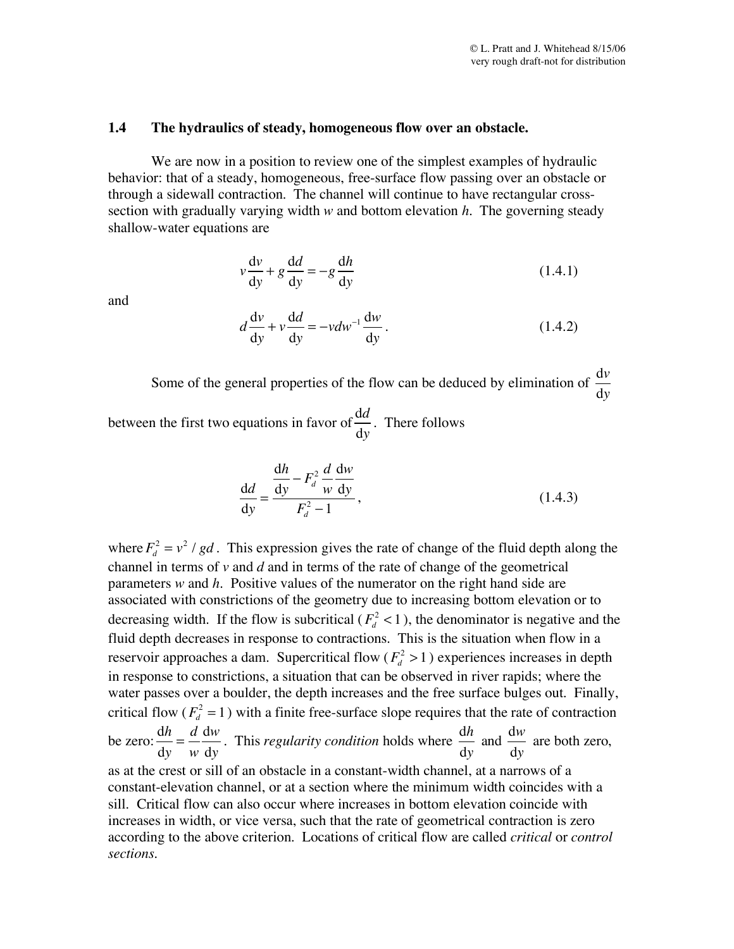## **1.4 The hydraulics of steady, homogeneous flow over an obstacle.**

We are now in a position to review one of the simplest examples of hydraulic behavior: that of a steady, homogeneous, free-surface flow passing over an obstacle or through a sidewall contraction. The channel will continue to have rectangular crosssection with gradually varying width *w* and bottom elevation *h.* The governing steady shallow-water equations are

$$
v\frac{dv}{dy} + g\frac{dd}{dy} = -g\frac{dh}{dy}
$$
 (1.4.1)

and

$$
d\frac{\mathrm{d}v}{\mathrm{d}y} + v\frac{\mathrm{d}d}{\mathrm{d}y} = -vdw^{-1}\frac{\mathrm{d}w}{\mathrm{d}y}.
$$
 (1.4.2)

Some of the general properties of the flow can be deduced by elimination of d*v* d*y*

between the first two equations in favor of d*d* d*y* . There follows

$$
\frac{\mathrm{d}d}{\mathrm{d}y} = \frac{\frac{\mathrm{d}h}{\mathrm{d}y} - F_d^2 \frac{d}{w} \frac{\mathrm{d}w}{\mathrm{d}y}}{F_d^2 - 1},\tag{1.4.3}
$$

where  $F_d^2 = v^2 / gd$ . This expression gives the rate of change of the fluid depth along the channel in terms of *v* and *d* and in terms of the rate of change of the geometrical parameters *w* and *h.* Positive values of the numerator on the right hand side are associated with constrictions of the geometry due to increasing bottom elevation or to decreasing width. If the flow is subcritical  $(F_d^2 < 1)$ , the denominator is negative and the fluid depth decreases in response to contractions. This is the situation when flow in a reservoir approaches a dam. Supercritical flow  $(F_d^2 > 1)$  experiences increases in depth in response to constrictions, a situation that can be observed in river rapids; where the water passes over a boulder, the depth increases and the free surface bulges out. Finally, critical flow ( $F_d^2 = 1$ ) with a finite free-surface slope requires that the rate of contraction be zero: d*h* d*y*  $=\frac{d}{d}$ *w* d*w*  $\frac{d\mathbf{w}}{d\mathbf{y}}$ . This *regularity condition* holds where d*h*  $\frac{d}{dy}$  and d*w*  $\frac{d\theta}{dy}$  are both zero, as at the crest or sill of an obstacle in a constant-width channel, at a narrows of a constant-elevation channel, or at a section where the minimum width coincides with a sill. Critical flow can also occur where increases in bottom elevation coincide with increases in width, or vice versa, such that the rate of geometrical contraction is zero according to the above criterion. Locations of critical flow are called *critical* or *control sections.*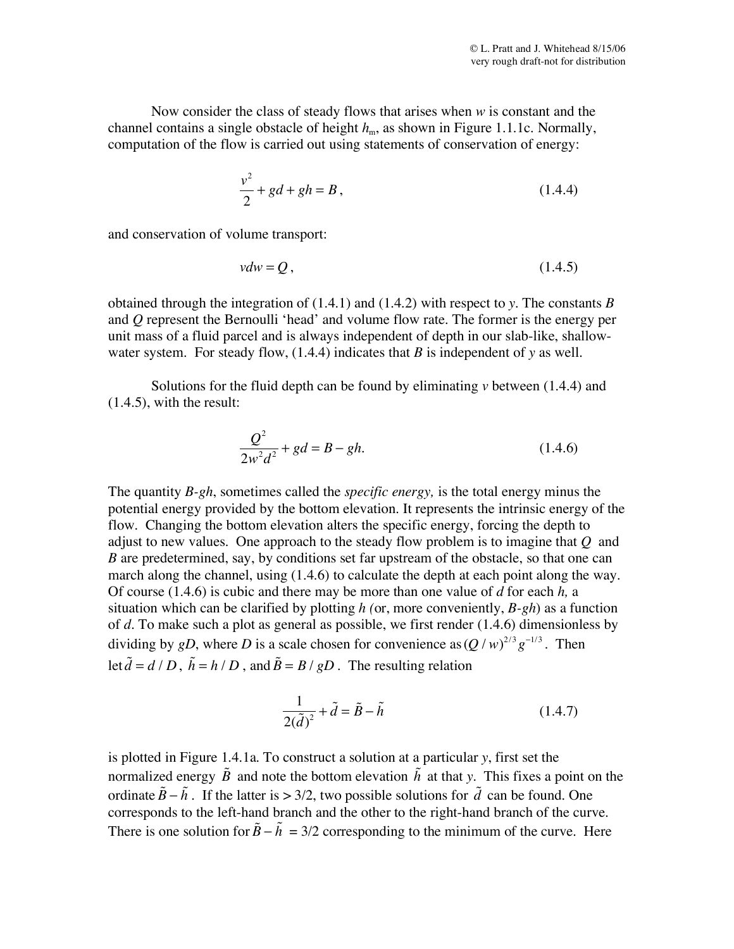Now consider the class of steady flows that arises when *w* is constant and the channel contains a single obstacle of height  $h_m$ , as shown in Figure 1.1.1c. Normally, computation of the flow is carried out using statements of conservation of energy:

$$
\frac{v^2}{2} + gd + gh = B\,,\tag{1.4.4}
$$

and conservation of volume transport:

$$
vdw = Q, \tag{1.4.5}
$$

obtained through the integration of (1.4.1) and (1.4.2) with respect to *y*. The constants *B* and *Q* represent the Bernoulli 'head' and volume flow rate. The former is the energy per unit mass of a fluid parcel and is always independent of depth in our slab-like, shallowwater system. For steady flow, (1.4.4) indicates that *B* is independent of *y* as well.

Solutions for the fluid depth can be found by eliminating *v* between (1.4.4) and (1.4.5), with the result:

$$
\frac{Q^2}{2w^2d^2} + gd = B - gh.
$$
\n(1.4.6)

The quantity *B-gh*, sometimes called the *specific energy,* is the total energy minus the potential energy provided by the bottom elevation. It represents the intrinsic energy of the flow. Changing the bottom elevation alters the specific energy, forcing the depth to adjust to new values. One approach to the steady flow problem is to imagine that *Q* and *B* are predetermined, say, by conditions set far upstream of the obstacle, so that one can march along the channel, using (1.4.6) to calculate the depth at each point along the way. Of course (1.4.6) is cubic and there may be more than one value of *d* for each *h,* a situation which can be clarified by plotting *h (*or, more conveniently, *B-gh*) as a function of *d*. To make such a plot as general as possible, we first render (1.4.6) dimensionless by dividing by *gD*, where *D* is a scale chosen for convenience as  $(Q/w)^{2/3}g^{-1/3}$ . Then let  $\tilde{d} = d/D$ ,  $\tilde{h} = h/D$ , and  $\tilde{B} = B/gD$ . The resulting relation

$$
\frac{1}{2(\tilde{d})^2} + \tilde{d} = \tilde{B} - \tilde{h}
$$
 (1.4.7)

is plotted in Figure 1.4.1a. To construct a solution at a particular *y*, first set the normalized energy  $\tilde{B}$  and note the bottom elevation  $\tilde{h}$  at that *y*. This fixes a point on the ordinate  $\tilde{B} - \tilde{h}$ . If the latter is > 3/2, two possible solutions for  $\tilde{d}$  can be found. One corresponds to the left-hand branch and the other to the right-hand branch of the curve. There is one solution for  $\tilde{B} - \tilde{h} = 3/2$  corresponding to the minimum of the curve. Here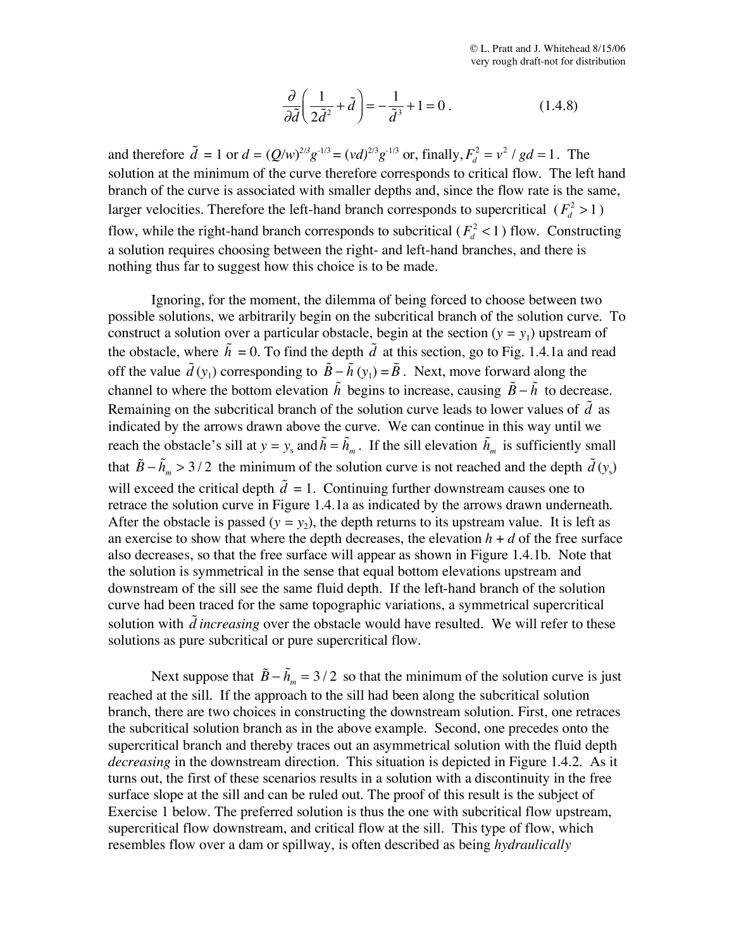$$
\frac{\partial}{\partial \tilde{d}} \left( \frac{1}{2 \tilde{d}^2} + \tilde{d} \right) = -\frac{1}{\tilde{d}^3} + 1 = 0.
$$
 (1.4.8)

and therefore  $\tilde{d} = 1$  or  $d = (Q/w)^{2/3}g^{-1/3} = (vd)^{2/3}g^{-1/3}$  or, finally,  $F_d^2 = v^2 / gd = 1$ . The solution at the minimum of the curve therefore corresponds to critical flow. The left hand branch of the curve is associated with smaller depths and, since the flow rate is the same, larger velocities. Therefore the left-hand branch corresponds to supercritical  $(F_d^2 > 1)$ flow, while the right-hand branch corresponds to subcritical  $(F_d^2 < 1)$  flow. Constructing a solution requires choosing between the right- and left-hand branches, and there is nothing thus far to suggest how this choice is to be made.

Ignoring, for the moment, the dilemma of being forced to choose between two possible solutions, we arbitrarily begin on the subcritical branch of the solution curve. To construct a solution over a particular obstacle, begin at the section  $(y = y_1)$  upstream of the obstacle, where  $\tilde{h} = 0$ . To find the depth  $\tilde{d}$  at this section, go to Fig. 1.4.1a and read off the value  $\tilde{d}(y_1)$  corresponding to  $\tilde{B} - \tilde{h}(y_1) = \tilde{B}$ . Next, move forward along the channel to where the bottom elevation  $\tilde{h}$  begins to increase, causing  $\tilde{B} - \tilde{h}$  to decrease. Remaining on the subcritical branch of the solution curve leads to lower values of  $\tilde{d}$  as indicated by the arrows drawn above the curve. We can continue in this way until we reach the obstacle's sill at  $y = y_s$  and  $\tilde{h} = \tilde{h}_m$ . If the sill elevation  $\tilde{h}_m$  is sufficiently small that  $\tilde{B} - \tilde{h}_m > 3/2$  the minimum of the solution curve is not reached and the depth  $\tilde{d}(y_s)$ will exceed the critical depth  $\tilde{d} = 1$ . Continuing further downstream causes one to retrace the solution curve in Figure 1.4.1a as indicated by the arrows drawn underneath. After the obstacle is passed  $(y = y_2)$ , the depth returns to its upstream value. It is left as an exercise to show that where the depth decreases, the elevation  $h + d$  of the free surface also decreases, so that the free surface will appear as shown in Figure 1.4.1b. Note that the solution is symmetrical in the sense that equal bottom elevations upstream and downstream of the sill see the same fluid depth. If the left-hand branch of the solution curve had been traced for the same topographic variations, a symmetrical supercritical solution with  $\tilde{d}$  *increasing* over the obstacle would have resulted. We will refer to these solutions as pure subcritical or pure supercritical flow.

Next suppose that  $\tilde{B} - \tilde{h}_m = 3/2$  so that the minimum of the solution curve is just reached at the sill. If the approach to the sill had been along the subcritical solution branch, there are two choices in constructing the downstream solution. First, one retraces the subcritical solution branch as in the above example. Second, one precedes onto the supercritical branch and thereby traces out an asymmetrical solution with the fluid depth *decreasing* in the downstream direction. This situation is depicted in Figure 1.4.2. As it turns out, the first of these scenarios results in a solution with a discontinuity in the free surface slope at the sill and can be ruled out. The proof of this result is the subject of Exercise 1 below. The preferred solution is thus the one with subcritical flow upstream, supercritical flow downstream, and critical flow at the sill. This type of flow, which resembles flow over a dam or spillway, is often described as being *hydraulically*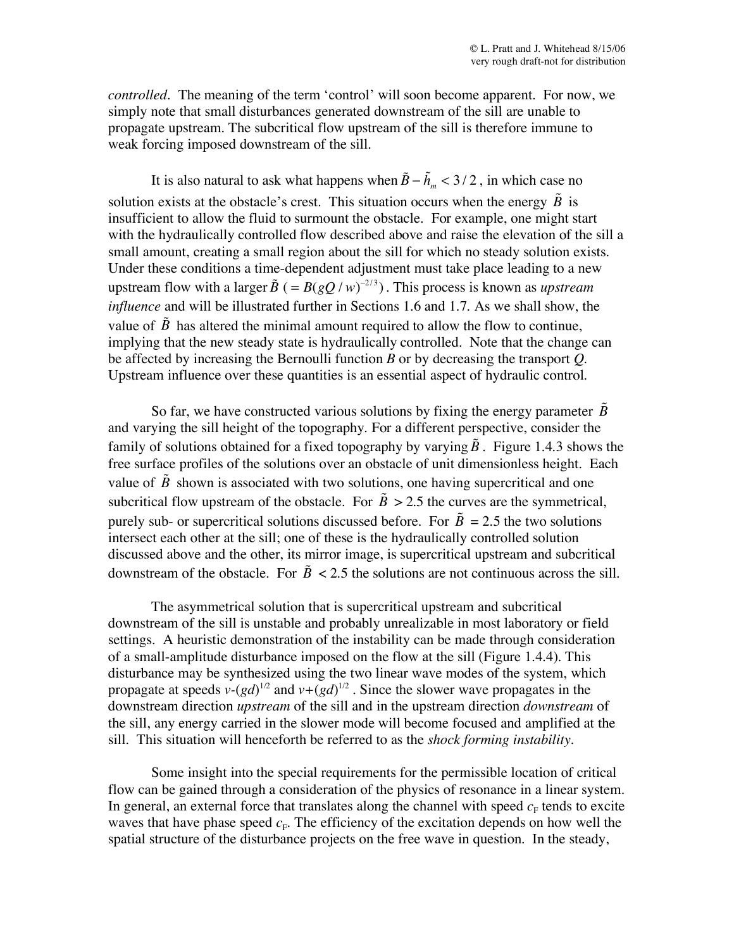*controlled.* The meaning of the term 'control' will soon become apparent. For now, we simply note that small disturbances generated downstream of the sill are unable to propagate upstream. The subcritical flow upstream of the sill is therefore immune to weak forcing imposed downstream of the sill.

It is also natural to ask what happens when  $\tilde{B} - \tilde{h}_m < 3/2$ , in which case no solution exists at the obstacle's crest. This situation occurs when the energy  $\tilde{B}$  is insufficient to allow the fluid to surmount the obstacle. For example, one might start with the hydraulically controlled flow described above and raise the elevation of the sill a small amount, creating a small region about the sill for which no steady solution exists. Under these conditions a time-dependent adjustment must take place leading to a new upstream flow with a larger  $\tilde{B}$  ( =  $B(gQ/w)^{-2/3}$ ). This process is known as *upstream influence* and will be illustrated further in Sections 1.6 and 1.7. As we shall show, the value of  $\tilde{B}$  has altered the minimal amount required to allow the flow to continue, implying that the new steady state is hydraulically controlled. Note that the change can be affected by increasing the Bernoulli function *B* or by decreasing the transport *Q*. Upstream influence over these quantities is an essential aspect of hydraulic control.

So far, we have constructed various solutions by fixing the energy parameter  $\tilde{B}$ and varying the sill height of the topography. For a different perspective, consider the family of solutions obtained for a fixed topography by varying  $\tilde{B}$  . Figure 1.4.3 shows the free surface profiles of the solutions over an obstacle of unit dimensionless height. Each value of  $\tilde{B}$  shown is associated with two solutions, one having supercritical and one subcritical flow upstream of the obstacle. For  $\tilde{B} > 2.5$  the curves are the symmetrical, purely sub- or supercritical solutions discussed before. For  $\tilde{B} = 2.5$  the two solutions intersect each other at the sill; one of these is the hydraulically controlled solution discussed above and the other, its mirror image, is supercritical upstream and subcritical downstream of the obstacle. For  $\tilde{B}$  < 2.5 the solutions are not continuous across the sill.

The asymmetrical solution that is supercritical upstream and subcritical downstream of the sill is unstable and probably unrealizable in most laboratory or field settings. A heuristic demonstration of the instability can be made through consideration of a small-amplitude disturbance imposed on the flow at the sill (Figure 1.4.4). This disturbance may be synthesized using the two linear wave modes of the system, which propagate at speeds  $v-(gd)^{1/2}$  and  $v+(gd)^{1/2}$ . Since the slower wave propagates in the downstream direction *upstream* of the sill and in the upstream direction *downstream* of the sill, any energy carried in the slower mode will become focused and amplified at the sill. This situation will henceforth be referred to as the *shock forming instability*.

Some insight into the special requirements for the permissible location of critical flow can be gained through a consideration of the physics of resonance in a linear system. In general, an external force that translates along the channel with speed  $c<sub>F</sub>$  tends to excite waves that have phase speed  $c_F$ . The efficiency of the excitation depends on how well the spatial structure of the disturbance projects on the free wave in question. In the steady,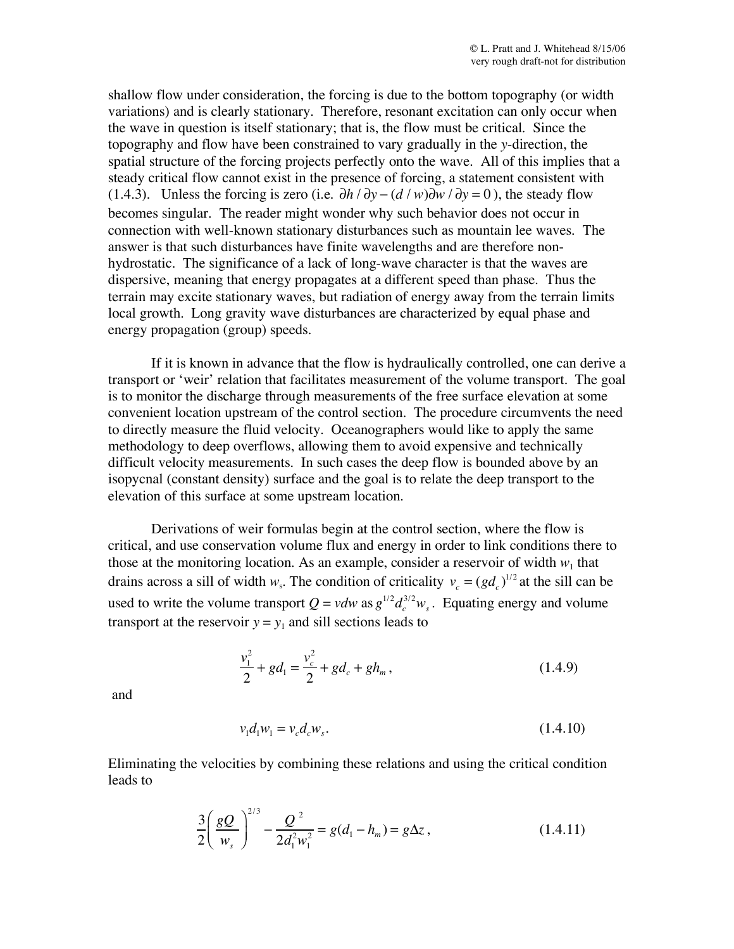shallow flow under consideration, the forcing is due to the bottom topography (or width variations) and is clearly stationary. Therefore, resonant excitation can only occur when the wave in question is itself stationary; that is, the flow must be critical. Since the topography and flow have been constrained to vary gradually in the *y*-direction, the spatial structure of the forcing projects perfectly onto the wave. All of this implies that a steady critical flow cannot exist in the presence of forcing, a statement consistent with (1.4.3). Unless the forcing is zero (i.e.  $\partial h / \partial y - (d / w) \partial w / \partial y = 0$ ), the steady flow becomes singular. The reader might wonder why such behavior does not occur in connection with well-known stationary disturbances such as mountain lee waves. The answer is that such disturbances have finite wavelengths and are therefore nonhydrostatic. The significance of a lack of long-wave character is that the waves are dispersive, meaning that energy propagates at a different speed than phase. Thus the terrain may excite stationary waves, but radiation of energy away from the terrain limits local growth. Long gravity wave disturbances are characterized by equal phase and energy propagation (group) speeds.

If it is known in advance that the flow is hydraulically controlled, one can derive a transport or 'weir' relation that facilitates measurement of the volume transport. The goal is to monitor the discharge through measurements of the free surface elevation at some convenient location upstream of the control section. The procedure circumvents the need to directly measure the fluid velocity. Oceanographers would like to apply the same methodology to deep overflows, allowing them to avoid expensive and technically difficult velocity measurements. In such cases the deep flow is bounded above by an isopycnal (constant density) surface and the goal is to relate the deep transport to the elevation of this surface at some upstream location.

Derivations of weir formulas begin at the control section, where the flow is critical, and use conservation volume flux and energy in order to link conditions there to those at the monitoring location. As an example, consider a reservoir of width  $w_1$  that drains across a sill of width  $w_s$ . The condition of criticality  $v_c = (gd_c)^{1/2}$  at the sill can be used to write the volume transport  $Q = v dw$  as  $g^{1/2} d_c^{3/2} w_s$ . Equating energy and volume transport at the reservoir  $y = y_1$  and sill sections leads to

$$
\frac{v_1^2}{2} + gd_1 = \frac{v_c^2}{2} + gd_c + gh_m, \qquad (1.4.9)
$$

and

$$
v_1 d_1 w_1 = v_c d_c w_s. \tag{1.4.10}
$$

Eliminating the velocities by combining these relations and using the critical condition leads to

$$
\frac{3}{2} \left( \frac{gQ}{w_s} \right)^{2/3} - \frac{Q^2}{2d_1^2 w_1^2} = g(d_1 - h_m) = g\Delta z, \qquad (1.4.11)
$$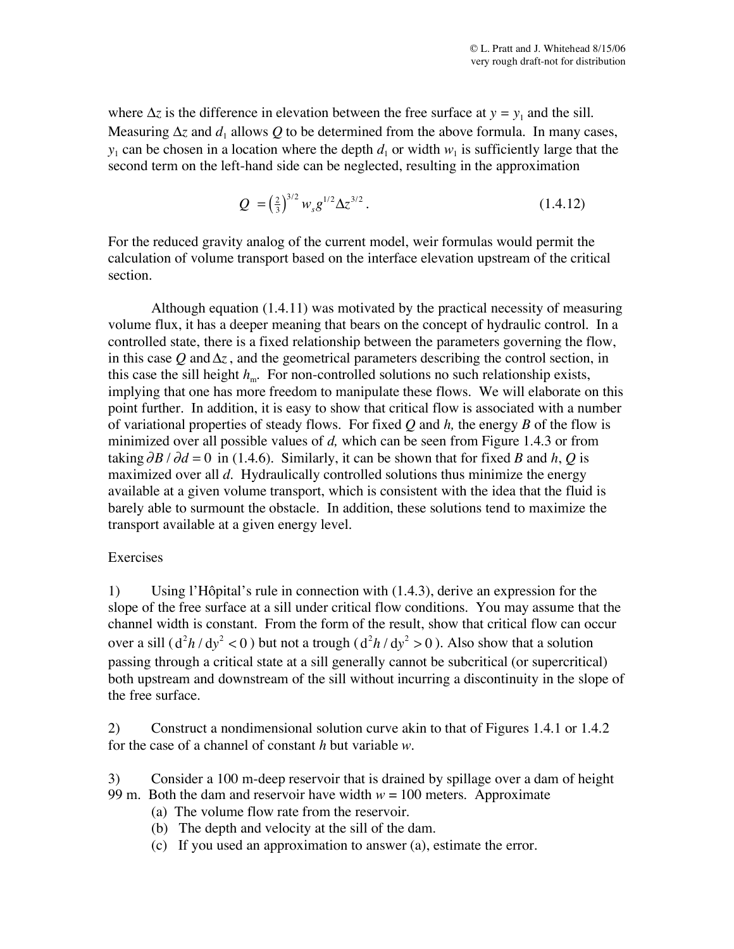where  $\Delta z$  is the difference in elevation between the free surface at  $y = y_1$  and the sill. Measuring  $\Delta z$  and  $d_1$  allows Q to be determined from the above formula. In many cases,  $y_1$  can be chosen in a location where the depth  $d_1$  or width  $w_1$  is sufficiently large that the second term on the left-hand side can be neglected, resulting in the approximation

$$
Q = \left(\frac{2}{3}\right)^{3/2} w_s g^{1/2} \Delta z^{3/2} \,. \tag{1.4.12}
$$

For the reduced gravity analog of the current model, weir formulas would permit the calculation of volume transport based on the interface elevation upstream of the critical section.

Although equation (1.4.11) was motivated by the practical necessity of measuring volume flux, it has a deeper meaning that bears on the concept of hydraulic control. In a controlled state, there is a fixed relationship between the parameters governing the flow, in this case  $Q$  and  $\Delta z$ , and the geometrical parameters describing the control section, in this case the sill height  $h_{m}$ . For non-controlled solutions no such relationship exists, implying that one has more freedom to manipulate these flows. We will elaborate on this point further. In addition, it is easy to show that critical flow is associated with a number of variational properties of steady flows. For fixed *Q* and *h,* the energy *B* of the flow is minimized over all possible values of *d,* which can be seen from Figure 1.4.3 or from taking  $\partial B / \partial d = 0$  in (1.4.6). Similarly, it can be shown that for fixed *B* and *h*, *Q* is maximized over all *d*. Hydraulically controlled solutions thus minimize the energy available at a given volume transport, which is consistent with the idea that the fluid is barely able to surmount the obstacle. In addition, these solutions tend to maximize the transport available at a given energy level.

## Exercises

1) Using l'Hôpital's rule in connection with (1.4.3), derive an expression for the slope of the free surface at a sill under critical flow conditions. You may assume that the channel width is constant. From the form of the result, show that critical flow can occur over a sill  $(d^2h/dy^2 < 0)$  but not a trough  $(d^2h/dy^2 > 0)$ . Also show that a solution passing through a critical state at a sill generally cannot be subcritical (or supercritical) both upstream and downstream of the sill without incurring a discontinuity in the slope of the free surface.

2) Construct a nondimensional solution curve akin to that of Figures 1.4.1 or 1.4.2 for the case of a channel of constant *h* but variable *w*.

- 3) Consider a 100 m-deep reservoir that is drained by spillage over a dam of height 99 m. Both the dam and reservoir have width  $w = 100$  meters. Approximate
	- (a) The volume flow rate from the reservoir.
	- (b) The depth and velocity at the sill of the dam.
	- (c) If you used an approximation to answer (a), estimate the error.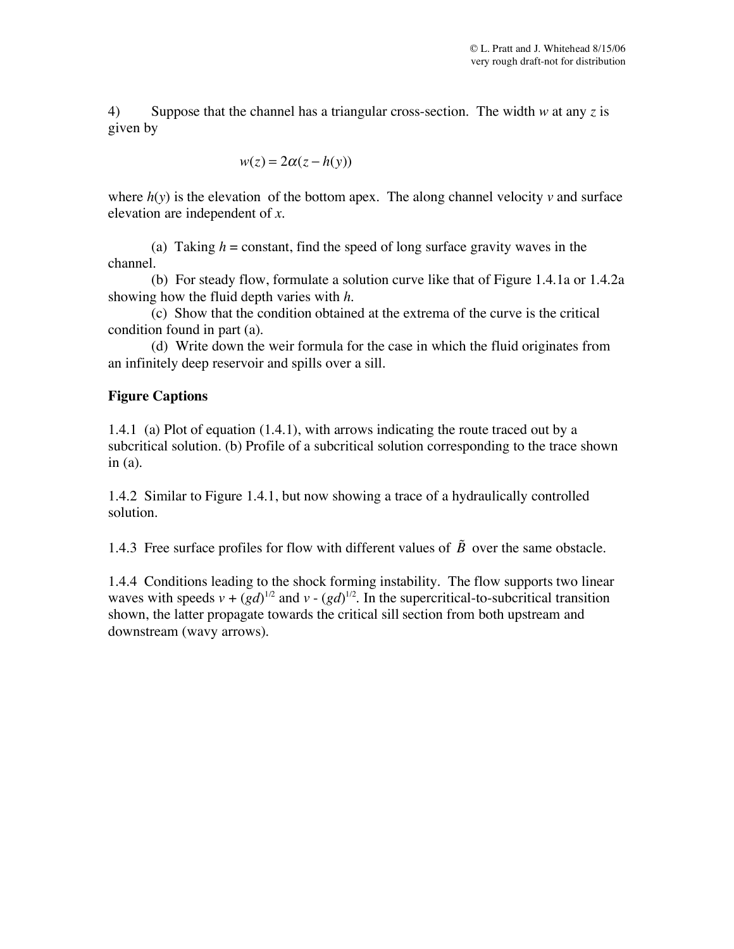4) Suppose that the channel has a triangular cross-section. The width *w* at any *z* is given by

$$
w(z) = 2\alpha(z - h(y))
$$

where  $h(y)$  is the elevation of the bottom apex. The along channel velocity  $v$  and surface elevation are independent of *x*.

(a) Taking  $h =$  constant, find the speed of long surface gravity waves in the channel.

(b) For steady flow, formulate a solution curve like that of Figure 1.4.1a or 1.4.2a showing how the fluid depth varies with *h*.

(c) Show that the condition obtained at the extrema of the curve is the critical condition found in part (a).

(d) Write down the weir formula for the case in which the fluid originates from an infinitely deep reservoir and spills over a sill.

## **Figure Captions**

1.4.1 (a) Plot of equation (1.4.1), with arrows indicating the route traced out by a subcritical solution. (b) Profile of a subcritical solution corresponding to the trace shown in (a).

1.4.2 Similar to Figure 1.4.1, but now showing a trace of a hydraulically controlled solution.

1.4.3 Free surface profiles for flow with different values of  $\tilde{B}$  over the same obstacle.

1.4.4 Conditions leading to the shock forming instability. The flow supports two linear waves with speeds  $v + (gd)^{1/2}$  and  $v - (gd)^{1/2}$ . In the supercritical-to-subcritical transition shown, the latter propagate towards the critical sill section from both upstream and downstream (wavy arrows).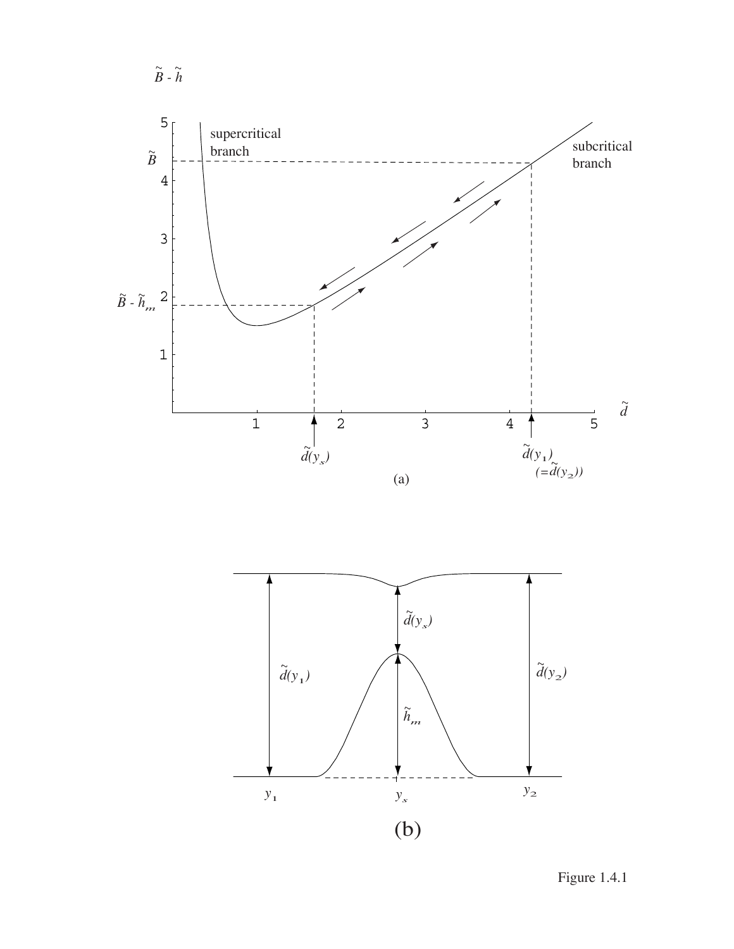



Figure 1.4.1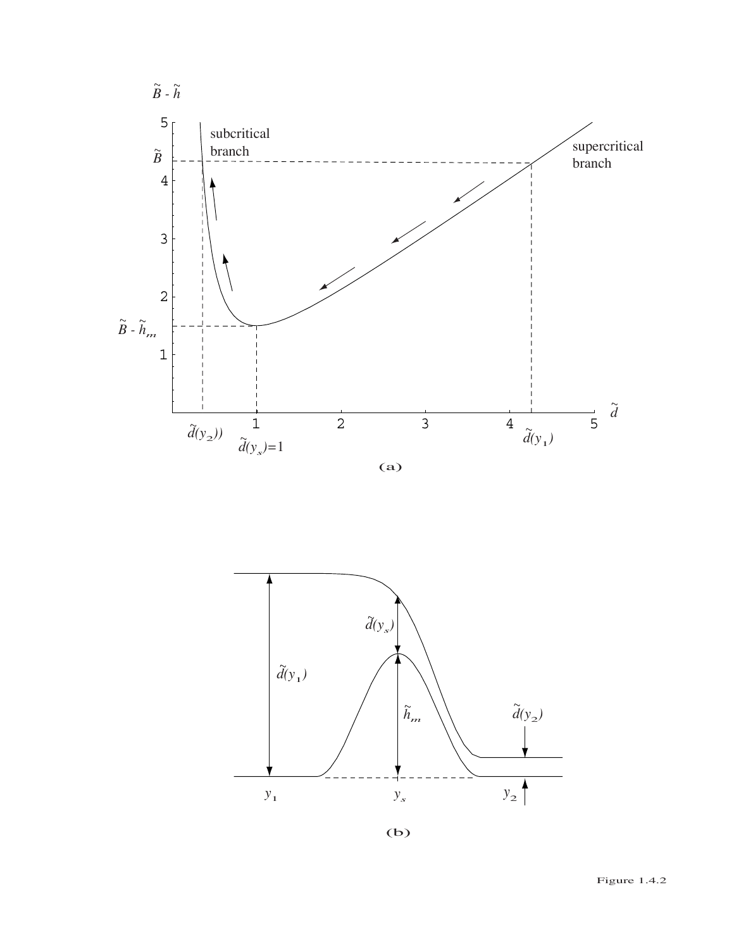



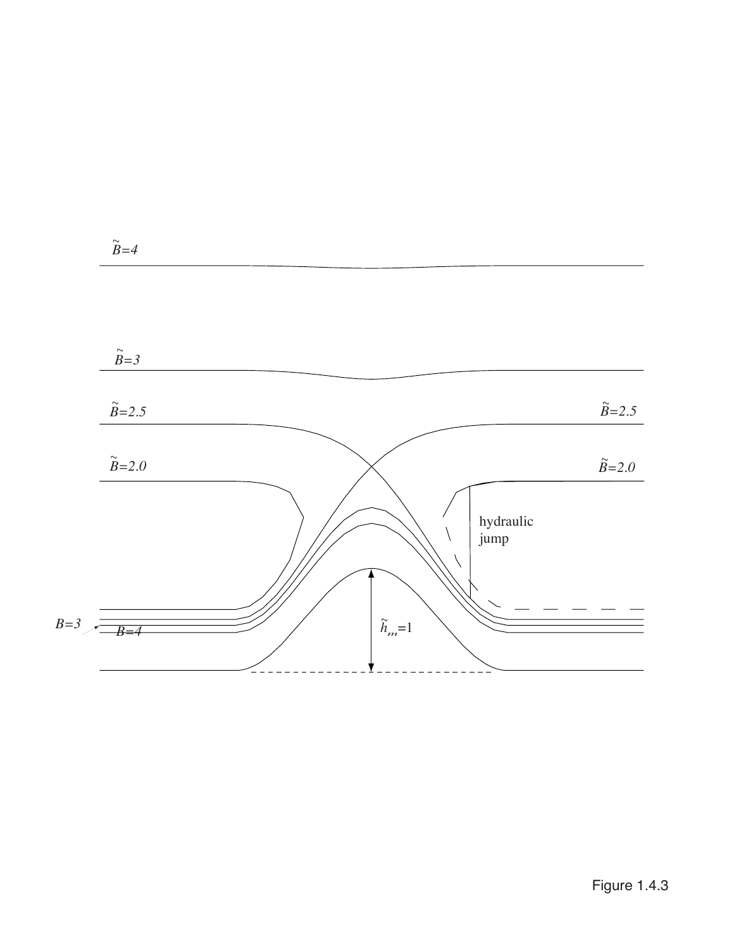

Figure 1.4.3